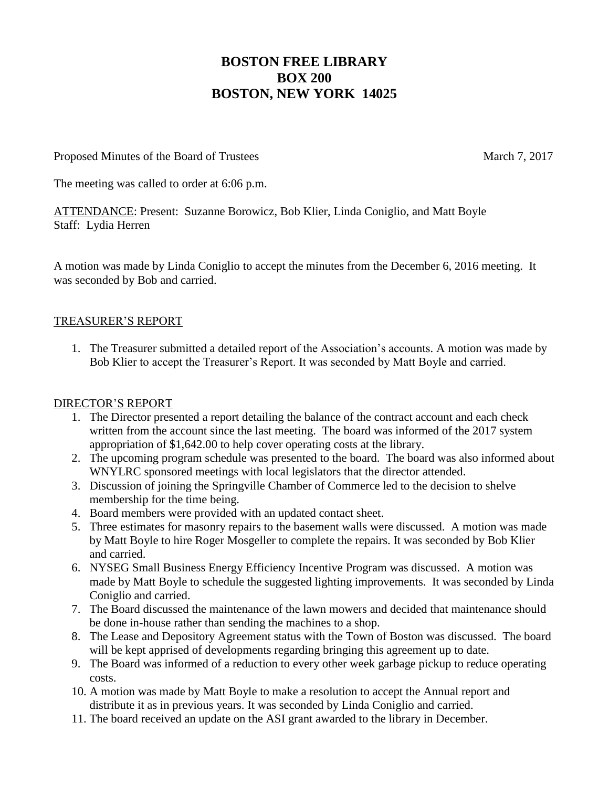# **BOSTON FREE LIBRARY BOX 200 BOSTON, NEW YORK 14025**

Proposed Minutes of the Board of Trustees March 7, 2017

The meeting was called to order at 6:06 p.m.

ATTENDANCE: Present: Suzanne Borowicz, Bob Klier, Linda Coniglio, and Matt Boyle Staff: Lydia Herren

A motion was made by Linda Coniglio to accept the minutes from the December 6, 2016 meeting. It was seconded by Bob and carried.

## TREASURER'S REPORT

1. The Treasurer submitted a detailed report of the Association's accounts. A motion was made by Bob Klier to accept the Treasurer's Report. It was seconded by Matt Boyle and carried.

#### DIRECTOR'S REPORT

- 1. The Director presented a report detailing the balance of the contract account and each check written from the account since the last meeting. The board was informed of the 2017 system appropriation of \$1,642.00 to help cover operating costs at the library.
- 2. The upcoming program schedule was presented to the board. The board was also informed about WNYLRC sponsored meetings with local legislators that the director attended.
- 3. Discussion of joining the Springville Chamber of Commerce led to the decision to shelve membership for the time being.
- 4. Board members were provided with an updated contact sheet.
- 5. Three estimates for masonry repairs to the basement walls were discussed. A motion was made by Matt Boyle to hire Roger Mosgeller to complete the repairs. It was seconded by Bob Klier and carried.
- 6. NYSEG Small Business Energy Efficiency Incentive Program was discussed. A motion was made by Matt Boyle to schedule the suggested lighting improvements. It was seconded by Linda Coniglio and carried.
- 7. The Board discussed the maintenance of the lawn mowers and decided that maintenance should be done in-house rather than sending the machines to a shop.
- 8. The Lease and Depository Agreement status with the Town of Boston was discussed. The board will be kept apprised of developments regarding bringing this agreement up to date.
- 9. The Board was informed of a reduction to every other week garbage pickup to reduce operating costs.
- 10. A motion was made by Matt Boyle to make a resolution to accept the Annual report and distribute it as in previous years. It was seconded by Linda Coniglio and carried.
- 11. The board received an update on the ASI grant awarded to the library in December.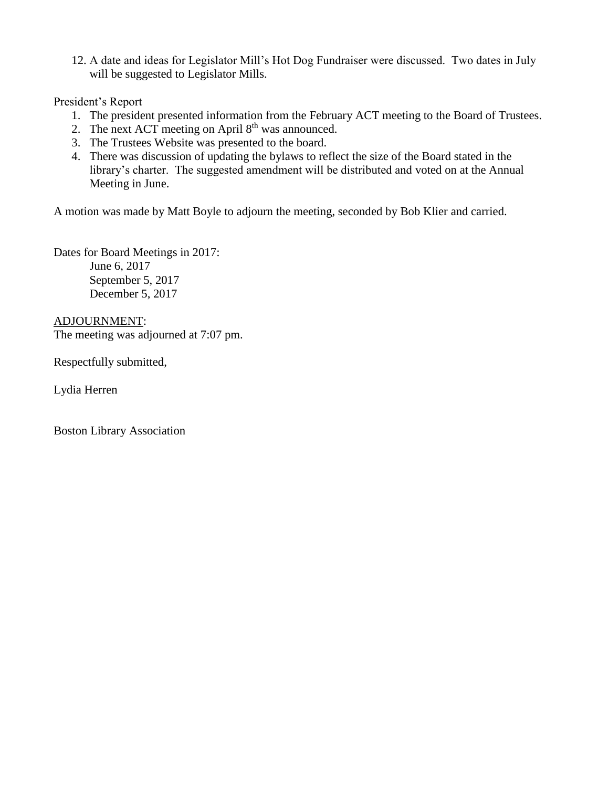12. A date and ideas for Legislator Mill's Hot Dog Fundraiser were discussed. Two dates in July will be suggested to Legislator Mills.

President's Report

- 1. The president presented information from the February ACT meeting to the Board of Trustees.
- 2. The next ACT meeting on April  $8<sup>th</sup>$  was announced.
- 3. The Trustees Website was presented to the board.
- 4. There was discussion of updating the bylaws to reflect the size of the Board stated in the library's charter. The suggested amendment will be distributed and voted on at the Annual Meeting in June.

A motion was made by Matt Boyle to adjourn the meeting, seconded by Bob Klier and carried.

Dates for Board Meetings in 2017: June 6, 2017 September 5, 2017 December 5, 2017

ADJOURNMENT: The meeting was adjourned at 7:07 pm.

Respectfully submitted,

Lydia Herren

Boston Library Association